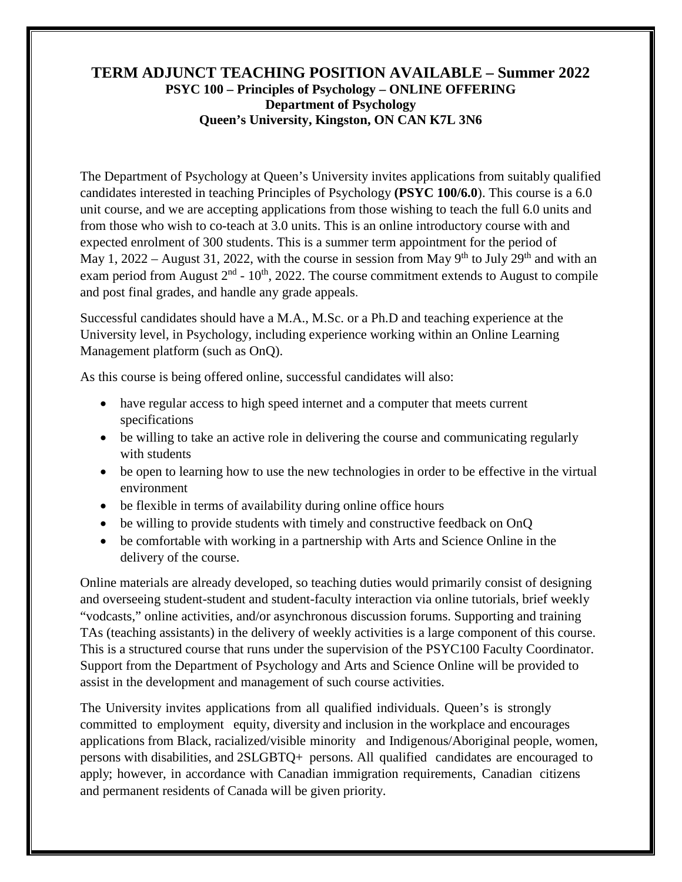## **TERM ADJUNCT TEACHING POSITION AVAILABLE – Summer 2022 PSYC 100 – Principles of Psychology – ONLINE OFFERING Department of Psychology Queen's University, Kingston, ON CAN K7L 3N6**

The Department of Psychology at Queen's University invites applications from suitably qualified candidates interested in teaching Principles of Psychology **(PSYC 100/6.0**). This course is a 6.0 unit course, and we are accepting applications from those wishing to teach the full 6.0 units and from those who wish to co-teach at 3.0 units. This is an online introductory course with and expected enrolment of 300 students. This is a summer term appointment for the period of May 1, 2022 – August 31, 2022, with the course in session from May 9<sup>th</sup> to July 29<sup>th</sup> and with an exam period from August  $2<sup>nd</sup>$  - 10<sup>th</sup>, 2022. The course commitment extends to August to compile and post final grades, and handle any grade appeals.

Successful candidates should have a M.A., M.Sc. or a Ph.D and teaching experience at the University level, in Psychology, including experience working within an Online Learning Management platform (such as OnQ).

As this course is being offered online, successful candidates will also:

- have regular access to high speed internet and a computer that meets current specifications
- be willing to take an active role in delivering the course and communicating regularly with students
- be open to learning how to use the new technologies in order to be effective in the virtual environment
- be flexible in terms of availability during online office hours
- be willing to provide students with timely and constructive feedback on OnQ
- be comfortable with working in a partnership with Arts and Science Online in the delivery of the course.

Online materials are already developed, so teaching duties would primarily consist of designing and overseeing student-student and student-faculty interaction via online tutorials, brief weekly "vodcasts," online activities, and/or asynchronous discussion forums. Supporting and training TAs (teaching assistants) in the delivery of weekly activities is a large component of this course. This is a structured course that runs under the supervision of the PSYC100 Faculty Coordinator. Support from the Department of Psychology and Arts and Science Online will be provided to assist in the development and management of such course activities.

The University invites applications from all qualified individuals. Queen's is strongly committed to employment equity, diversity and inclusion in the workplace and encourages applications from Black, racialized/visible minority and Indigenous/Aboriginal people, women, persons with disabilities, and 2SLGBTQ+ persons. All qualified candidates are encouraged to apply; however, in accordance with Canadian immigration requirements, Canadian citizens and permanent residents of Canada will be given priority.